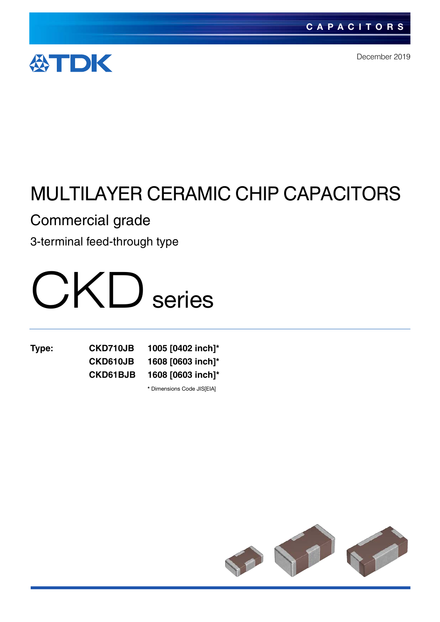

December 2019

# MULTILAYER CERAMIC CHIP CAPACITORS

Commercial grade

3-terminal feed-through type



**Type: CKD710JB 1005 [0402 inch]\* CKD610JB 1608 [0603 inch]\* CKD61BJB 1608 [0603 inch]\* \*** Dimensions Code JIS[EIA]

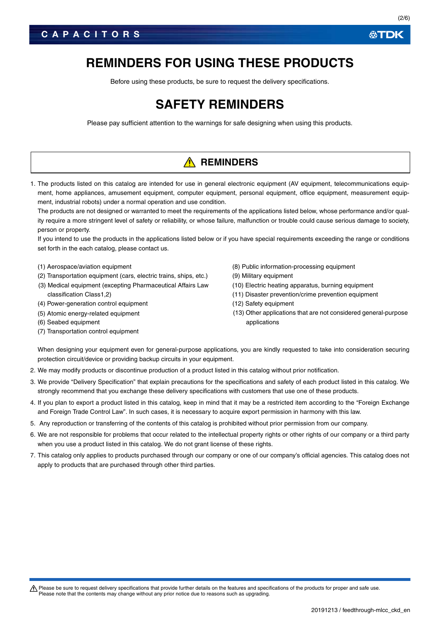Before using these products, be sure to request the delivery specifications.

# **SAFETY REMINDERS**

Please pay sufficient attention to the warnings for safe designing when using this products.

# **A** REMINDERS

1. The products listed on this catalog are intended for use in general electronic equipment (AV equipment, telecommunications equipment, home appliances, amusement equipment, computer equipment, personal equipment, office equipment, measurement equipment, industrial robots) under a normal operation and use condition.

The products are not designed or warranted to meet the requirements of the applications listed below, whose performance and/or quality require a more stringent level of safety or reliability, or whose failure, malfunction or trouble could cause serious damage to society, person or property.

If you intend to use the products in the applications listed below or if you have special requirements exceeding the range or conditions set forth in the each catalog, please contact us.

- (1) Aerospace/aviation equipment
- (2) Transportation equipment (cars, electric trains, ships, etc.)
- (3) Medical equipment (excepting Pharmaceutical Affairs Law classification Class1,2)
- (4) Power-generation control equipment
- (5) Atomic energy-related equipment
- (6) Seabed equipment
- (7) Transportation control equipment
- (8) Public information-processing equipment
- (9) Military equipment
- (10) Electric heating apparatus, burning equipment
- (11) Disaster prevention/crime prevention equipment
- (12) Safety equipment
- (13) Other applications that are not considered general-purpose applications

When designing your equipment even for general-purpose applications, you are kindly requested to take into consideration securing protection circuit/device or providing backup circuits in your equipment.

- 2. We may modify products or discontinue production of a product listed in this catalog without prior notification.
- 3. We provide "Delivery Specification" that explain precautions for the specifications and safety of each product listed in this catalog. We strongly recommend that you exchange these delivery specifications with customers that use one of these products.
- 4. If you plan to export a product listed in this catalog, keep in mind that it may be a restricted item according to the "Foreign Exchange and Foreign Trade Control Law". In such cases, it is necessary to acquire export permission in harmony with this law.
- 5. Any reproduction or transferring of the contents of this catalog is prohibited without prior permission from our company.
- 6. We are not responsible for problems that occur related to the intellectual property rights or other rights of our company or a third party when you use a product listed in this catalog. We do not grant license of these rights.
- 7. This catalog only applies to products purchased through our company or one of our company's official agencies. This catalog does not apply to products that are purchased through other third parties.

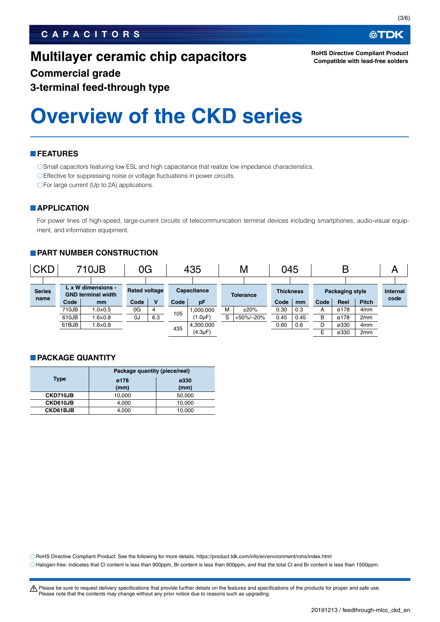# **CAPACITORS**

# **Multilayer ceramic chip capacitors**

**RoHS Directive Compliant Product Compatible with lead-free solders**

# **Commercial grade 3-terminal feed-through type**

# **Overview of the CKD series**

## **FEATURES**

O Small capacitors featuring low ESL and high capacitance that realize low impedance characteristics.

Effective for suppressing noise or voltage fluctuations in power circuits.

○For large current (Up to 2A) applications.

# **APPLICATION**

For power lines of high-speed, large-current circuits of telecommunication terminal devices including smartphones, audio-visual equipment, and information equipment.

# **PART NUMBER CONSTRUCTION**

| <b>CKD</b>    |       | 710JB                                           | 0G                   |     |      | 435           |   | М                | 045              |      |      | B               |                 | A               |
|---------------|-------|-------------------------------------------------|----------------------|-----|------|---------------|---|------------------|------------------|------|------|-----------------|-----------------|-----------------|
|               |       |                                                 |                      |     |      |               |   |                  |                  |      |      |                 |                 |                 |
| <b>Series</b> |       | L x W dimensions -<br><b>GND terminal width</b> | <b>Rated voltage</b> |     |      | Capacitance   |   | <b>Tolerance</b> | <b>Thickness</b> |      |      | Packaging style |                 | <b>Internal</b> |
| name          | Code  | mm                                              | Code                 | v   | Code | pF            |   |                  | Code             | mm   | Code | Reel            | <b>Pitch</b>    | code            |
|               | 710JB | $1.0\times0.5$                                  | 0G                   | 4   | 105  | 1.000.000     | м | ±20%             | 0.30             | 0.3  | А    | ø178            | 4 <sub>mm</sub> |                 |
|               | 610JB | $0.6\times 0.8$                                 | 0J                   | 6.3 |      | (1.0µF)       | c | +50%/-20%        | 0.45             | 0.45 | в    | ø178            | 2 <sub>mm</sub> |                 |
|               | 61BJB | $1.6 \times 0.8$                                |                      |     | 435  | 4,300,000     |   |                  | 0.60             | 0.6  | D    | ø330            | 4 <sub>mm</sub> |                 |
|               |       |                                                 |                      |     |      | $(4.3 \mu F)$ |   |                  |                  |      | E    | ø330            | 2 <sub>mm</sub> |                 |

### **PACKAGE QUANTITY**

|                 | Package quantity (piece/reel) |              |  |  |  |
|-----------------|-------------------------------|--------------|--|--|--|
| Type            | ø178<br>(mm)                  | ø330<br>(mm) |  |  |  |
| CKD710JB        | 10,000                        | 50,000       |  |  |  |
| CKD610JB        | 4,000                         | 10.000       |  |  |  |
| <b>CKD61BJB</b> | 4,000                         | 10,000       |  |  |  |

RoHS Directive Compliant Product: See the following for more details. https://product.tdk.com/info/en/environment/rohs/index.html

Halogen-free: indicates that Cl content is less than 900ppm, Br content is less than 900ppm, and that the total Cl and Br content is less than 1500ppm.

A Please be sure to request delivery specifications that provide further details on the features and specifications of the products for proper and safe use. Please note that the contents may change without any prior notice due to reasons such as upgrading.

必TDK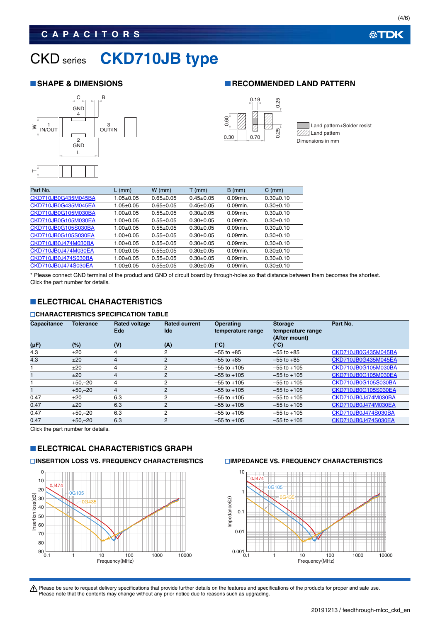# **CAPACITORS**

# CKD series **CKD710JB type**

### **SHAPE & DIMENSIONS RECOMMENDED LAND PATTERN**





Land pattern+Solder resist  $\triangledown$  $\mathbb{Z}$  Land pattern Dimensions in mm

| Part No.            | $L$ (mm)        | $W$ (mm)        | $T$ (mm)      | $B$ (mm)    | $C \, (mm)$ |
|---------------------|-----------------|-----------------|---------------|-------------|-------------|
|                     |                 |                 |               |             |             |
| CKD710JB0G435M045BA | $1.05 \pm 0.05$ | $0.65 \pm 0.05$ | $0.45+0.05$   | $0.09$ min. | $0.30+0.10$ |
| CKD710JB0G435M045EA | $1.05 \pm 0.05$ | $0.65 \pm 0.05$ | $0.45+0.05$   | $0.09$ min. | $0.30+0.10$ |
| CKD710JB0G105M030BA | $1.00 + 0.05$   | $0.55+0.05$     | $0.30 + 0.05$ | $0.09$ min. | $0.30+0.10$ |
| CKD710JB0G105M030EA | $1.00+0.05$     | $0.55+0.05$     | $0.30+0.05$   | $0.09$ min. | $0.30+0.10$ |
| CKD710JB0G105S030BA | $1.00+0.05$     | $0.55+0.05$     | $0.30+0.05$   | $0.09$ min. | $0.30+0.10$ |
| CKD710JB0G105S030EA | $1.00+0.05$     | $0.55+0.05$     | $0.30+0.05$   | $0.09$ min. | $0.30+0.10$ |
| CKD710JB0J474M030BA | $1.00+0.05$     | $0.55+0.05$     | $0.30+0.05$   | $0.09$ min. | $0.30+0.10$ |
| CKD710JB0J474M030EA | $1.00+0.05$     | $0.55+0.05$     | $0.30+0.05$   | $0.09$ min. | $0.30+0.10$ |
| CKD710JB0J474S030BA | $1.00+0.05$     | $0.55+0.05$     | $0.30+0.05$   | $0.09$ min. | $0.30+0.10$ |
| CKD710JB0J474S030EA | $1.00+0.05$     | $0.55+0.05$     | $0.30+0.05$   | $0.09$ min. | $0.30+0.10$ |
|                     |                 |                 |               |             |             |

\* Please connect GND terminal of the product and GND of circuit board by through-holes so that distance between them becomes the shortest. Click the part number for details.

# **ELECTRICAL CHARACTERISTICS**

## **CHARACTERISTICS SPECIFICATION TABLE**

| <b>Capacitance</b> | <b>Tolerance</b> | <b>Rated voltage</b> | <b>Rated current</b> | <b>Operating</b>  | <b>Storage</b>    | Part No.            |
|--------------------|------------------|----------------------|----------------------|-------------------|-------------------|---------------------|
|                    |                  | <b>Edc</b>           | ldc.                 | temperature range | temperature range |                     |
|                    |                  |                      |                      |                   |                   |                     |
|                    |                  |                      |                      |                   | (After mount)     |                     |
| $(\mu F)$          | $(\%)$           | (V)                  | (A)                  | $(^{\circ}C)$     | (°C)              |                     |
| 4.3                | ±20              | 4                    | 2                    | $-55$ to $+85$    | $-55$ to $+85$    | CKD710JB0G435M045BA |
| 4.3                | ±20              | $\overline{4}$       | $\overline{2}$       | $-55$ to $+85$    | $-55$ to $+85$    | CKD710JB0G435M045EA |
|                    | ±20              | 4                    | 2                    | $-55$ to $+105$   | $-55$ to $+105$   | CKD710JB0G105M030BA |
|                    | ±20              | 4                    | 2                    | $-55$ to $+105$   | $-55$ to $+105$   | CKD710JB0G105M030EA |
|                    | $+50,-20$        | 4                    | $\overline{2}$       | $-55$ to $+105$   | $-55$ to $+105$   | CKD710JB0G105S030BA |
|                    | $+50,-20$        | 4                    | 2                    | $-55$ to $+105$   | $-55$ to $+105$   | CKD710JB0G105S030EA |
| 0.47               | ±20              | 6.3                  | 2                    | $-55$ to $+105$   | $-55$ to $+105$   | CKD710JB0J474M030BA |
| 0.47               | ±20              | 6.3                  | 2                    | $-55$ to $+105$   | $-55$ to $+105$   | CKD710JB0J474M030EA |
| 0.47               | $+50-20$         | 6.3                  | 2                    | $-55$ to $+105$   | $-55$ to $+105$   | CKD710JB0J474S030BA |
| 0.47               | $+50 - 20$       | 6.3                  | $\overline{2}$       | $-55$ to $+105$   | $-55$ to $+105$   | CKD710JB0J474S030EA |

Click the part number for details.

# **ELECTRICAL CHARACTERISTICS GRAPH**

## **INSERTION LOSS VS. FREQUENCY CHARACTERISTICS IMPEDANCE VS. FREQUENCY CHARACTERISTICS**





Please be sure to request delivery specifications that provide further details on the features and specifications of the products for proper and safe use.<br>Please note that the contents may change without any prior notice d

**公TDK**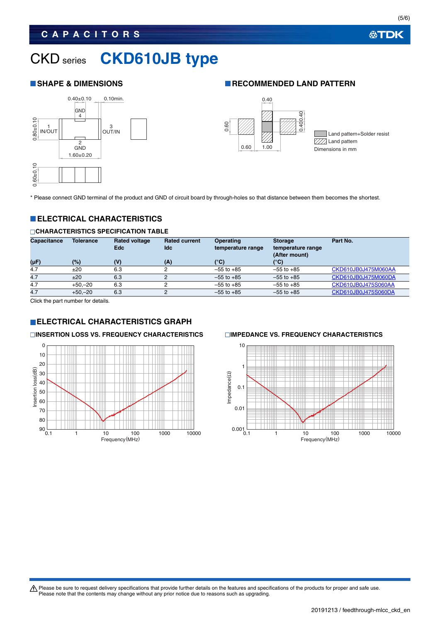# **CAPACITORS**

# CKD series **CKD610JB type**



# **SHAPE & DIMENSIONS RECOMMENDED LAND PATTERN**



\* Please connect GND terminal of the product and GND of circuit board by through-holes so that distance between them becomes the shortest.

# **ELECTRICAL CHARACTERISTICS**

### **CHARACTERISTICS SPECIFICATION TABLE**

| <b>Capacitance</b> | <b>Tolerance</b> | <b>Rated voltage</b><br><b>Edc</b> | <b>Rated current</b><br>ldc | <b>Operating</b><br>temperature range | <b>Storage</b><br>temperature range<br>(After mount) | Part No.            |
|--------------------|------------------|------------------------------------|-----------------------------|---------------------------------------|------------------------------------------------------|---------------------|
| $(\mu F)$          | (%)              | (V)                                | (A)                         | $(^{\circ}C)$                         | (°C)                                                 |                     |
| 4.7                | ±20              | 6.3                                |                             | $-55$ to $+85$                        | $-55$ to $+85$                                       | CKD610JB0J475M060AA |
| 4.7                | ±20              | 6.3                                | 2                           | $-55$ to $+85$                        | $-55$ to $+85$                                       | CKD610JB0J475M060DA |
| 4.7                | $+50 - 20$       | 6.3                                |                             | $-55$ to $+85$                        | $-55$ to $+85$                                       | CKD610JB0J475S060AA |
| 4.7                | $+50,-20$        | 6.3                                | 2                           | $-55$ to $+85$                        | $-55$ to $+85$                                       | CKD610JB0J475S060DA |

Click the part number for details.

# **ELECTRICAL CHARACTERISTICS GRAPH**

### **INSERTION LOSS VS. FREQUENCY CHARACTERISTICS IMPEDANCE VS. FREQUENCY CHARACTERISTICS**





Please be sure to request delivery specifications that provide further details on the features and specifications of the products for proper and safe use.<br>Please note that the contents may change without any prior notice d

**公TDK**